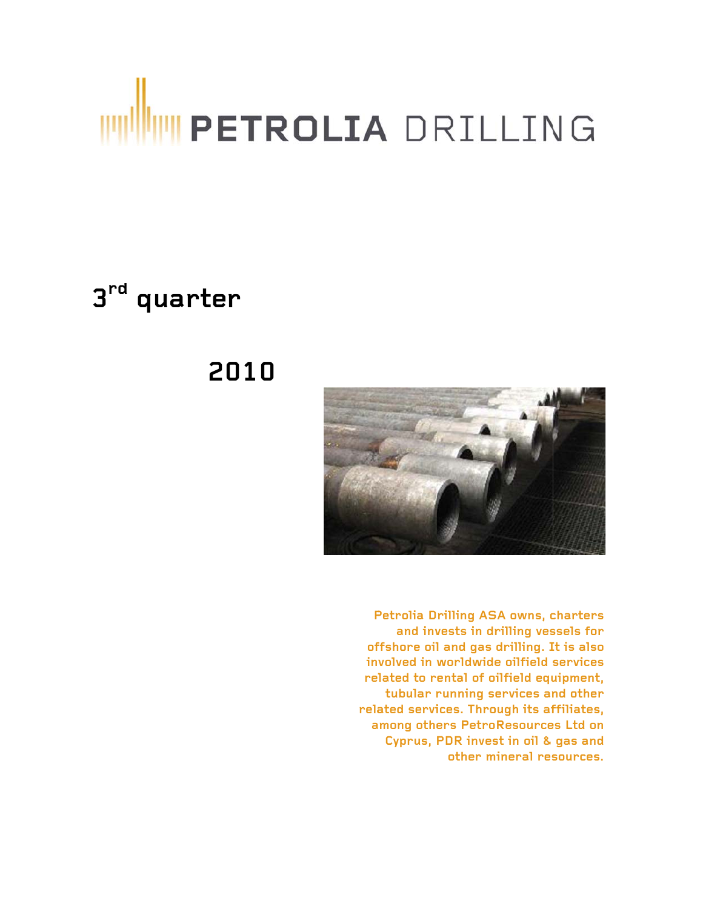# **TETROLIA** DRILLING

# 3rd quarter

# 2010



Petrolia Drilling ASA owns, charters and invests in drilling vessels for offshore oil and gas drilling. It is also involved in worldwide oilfield services related to rental of oilfield equipment, tubular running services and other related services. Through its affiliates, among others PetroResources Ltd on Cyprus, PDR invest in oil & gas and other mineral resources.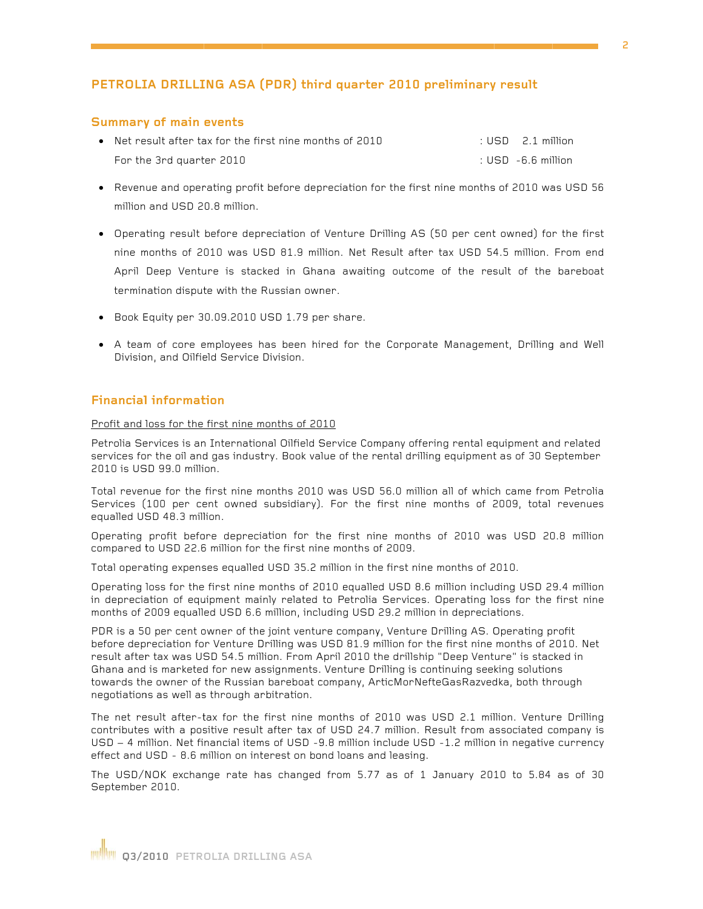#### PETROLIA DRILLING ASA (PDR) third quarter 2010 preliminary result

#### **Summary of main events**

| $\bullet$ Net result after tax for the first nine months of 2010 | $\therefore$ USD $\therefore$ 2.1 million |
|------------------------------------------------------------------|-------------------------------------------|
| For the 3rd quarter 2010                                         | $\pm$ USD $\,$ -6.6 million.              |

- Revenue and operating profit before depreciation for the first nine months of 2010 was USD 56 million and USD 20.8 million.
- Operating result before depreciation of Venture Drilling AS (50 per cent owned) for the first nine months of 2010 was USD 81.9 million. Net Result after tax USD 54.5 million. From end April Deep Venture is stacked in Ghana awaiting outcome of the result of the bareboat termination dispute with the Russian owner.
- Book Equity per 30.09.2010 USD 1.79 per share.
- A team of core employees has been hired for the Corporate Management, Drilling and Well Division, and Oilfield Service Division.

#### **Financial information**

Profit and loss for the first nine months of 2010

Petrolia Services is an International Oilfield Service Company offering rental equipment and related services for the oil and gas industry. Book value of the rental drilling equipment as of 30 September 2010 is USD 99.0 million.

Total revenue for the first nine months 2010 was USD 56.0 million all of which came from Petrolia Services (100 per cent owned subsidiary). For the first nine months of 2009, total revenues equalled USD 48.3 million.

Operating profit before depreciation for the first nine months of 2010 was USD 20.8 million compared to USD 22.6 million for the first nine months of 2009.

Total operating expenses equalled USD 35.2 million in the first nine months of 2010.

Operating loss for the first nine months of 2010 equalled USD 8.6 million including USD 29.4 million in depreciation of equipment mainly related to Petrolia Services. Operating loss for the first nine months of 2009 equalled USD 6.6 million, including USD 29.2 million in depreciations.

PDR is a 50 per cent owner of the joint venture company, Venture Drilling AS. Operating profit before depreciation for Venture Drilling was USD 81.9 million for the first nine months of 2010. Net result after tax was USD 54.5 million. From April 2010 the drillship "Deep Venture" is stacked in Ghana and is marketed for new assignments. Venture Drilling is continuing seeking solutions towards the owner of the Russian bareboat company, ArticMorNefteGasRazvedka, both through negotiations as well as through arbitration.

The net result after-tax for the first nine months of 2010 was USD 2.1 million. Venture Drilling contributes with a positive result after tax of USD 24.7 million. Result from associated company is USD - 4 million. Net financial items of USD - 9.8 million include USD - 1.2 million in negative currency effect and USD - 8.6 million on interest on bond loans and leasing.

The USD/NOK exchange rate has changed from 5.77 as of 1 January 2010 to 5.84 as of 30 September 2010.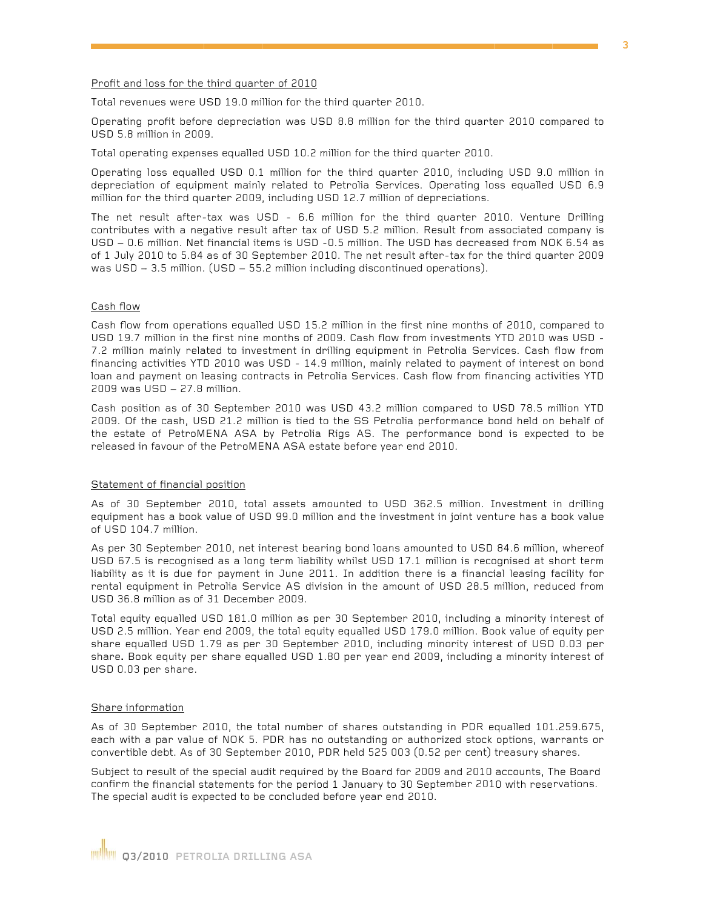#### Profit and loss for the third quarter of 2010

Total revenues were USD 19.0 million for the third quarter 2010.

Operating profit before depreciation was USD 8.8 million for the third quarter 2010 compared to USD 5.8 million in 2009.

Total operating expenses equalled USD 10.2 million for the third quarter 2010.

Operating loss equalled USD 0.1 million for the third quarter 2010, including USD 9.0 million in depreciation of equipment mainly related to Petrolia Services. Operating loss equalled USD 6.9 million for the third quarter 2009, including USD 12.7 million of depreciations.

The net result after-tax was USD - 6.6 million for the third quarter 2010. Venture Drilling contributes with a negative result after tax of USD 5.2 million. Result from associated company is USD - 0.6 million. Net financial items is USD - 0.5 million. The USD has decreased from NOK 6.54 as of 1 July 2010 to 5.84 as of 30 September 2010. The net result after-tax for the third quarter 2009 was USD - 3.5 million. (USD - 55.2 million including discontinued operations).

#### Cash flow

Cash flow from operations equalled USD 15.2 million in the first nine months of 2010, compared to USD 19.7 million in the first nine months of 2009. Cash flow from investments YTD 2010 was USD -7.2 million mainly related to investment in drilling equipment in Petrolia Services. Cash flow from financing activities YTD 2010 was USD - 14.9 million, mainly related to payment of interest on bond loan and payment on leasing contracts in Petrolia Services. Cash flow from financing activities YTD 2009 was USD - 27.8 million.

Cash position as of 30 September 2010 was USD 43.2 million compared to USD 78.5 million YTD 2009. Of the cash, USD 21.2 million is tied to the SS Petrolia performance bond held on behalf of the estate of PetroMENA ASA by Petrolia Rigs AS. The performance bond is expected to be released in favour of the PetroMENA ASA estate before year end 2010.

#### Statement of financial position

As of 30 September 2010, total assets amounted to USD 362.5 million. Investment in drilling equipment has a book value of USD 99.0 million and the investment in joint venture has a book value of USD 104.7 million.

As per 30 September 2010, net interest bearing bond loans amounted to USD 84.6 million, whereof USD 67.5 is recognised as a long term liability whilst USD 17.1 million is recognised at short term liability as it is due for payment in June 2011. In addition there is a financial leasing facility for rental equipment in Petrolia Service AS division in the amount of USD 28.5 million, reduced from USD 36.8 million as of 31 December 2009.

Total equity equalled USD 181.0 million as per 30 September 2010, including a minority interest of USD 2.5 million. Year end 2009, the total equity equalled USD 179.0 million. Book value of equity per share equalled USD 1.79 as per 30 September 2010, including minority interest of USD 0.03 per share. Book equity per share equalled USD 1.80 per year end 2009, including a minority interest of USD 0.03 per share.

#### Share information

As of 30 September 2010, the total number of shares outstanding in PDR equalled 101.259.675, each with a par value of NOK 5. PDR has no outstanding or authorized stock options, warrants or convertible debt. As of 30 September 2010, PDR held 525 003 (0.52 per cent) treasury shares.

Subject to result of the special audit required by the Board for 2009 and 2010 accounts, The Board confirm the financial statements for the period 1 January to 30 September 2010 with reservations. The special audit is expected to be concluded before year end 2010.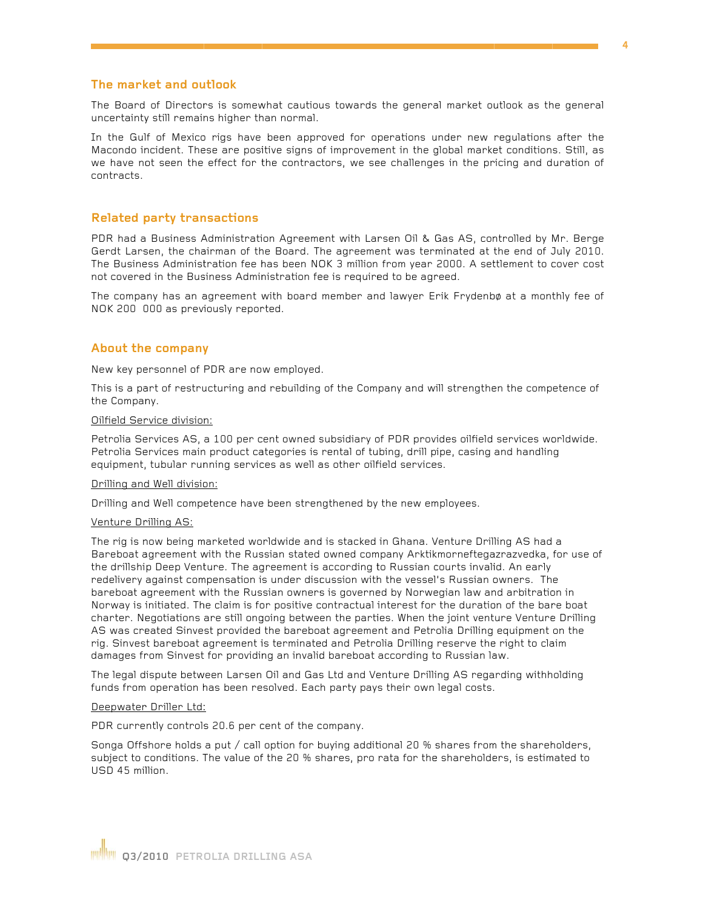#### The market and outlook

The Board of Directors is somewhat cautious towards the general market outlook as the general uncertainty still remains higher than normal.

In the Gulf of Mexico rigs have been approved for operations under new regulations after the Macondo incident. These are positive signs of improvement in the global market conditions. Still, as we have not seen the effect for the contractors, we see challenges in the pricing and duration of contracts.

#### **Related party transactions**

PDR had a Business Administration Agreement with Larsen Oil & Gas AS, controlled by Mr. Berge Gerdt Larsen, the chairman of the Board. The agreement was terminated at the end of July 2010. The Business Administration fee has been NOK 3 million from year 2000. A settlement to cover cost not covered in the Business Administration fee is required to be agreed.

The company has an agreement with board member and lawyer Erik Frydenbø at a monthly fee of NOK 200 000 as previously reported.

#### **About the company**

New key personnel of PDR are now employed.

This is a part of restructuring and rebuilding of the Company and will strengthen the competence of the Company.

#### Oilfield Service division:

Petrolia Services AS, a 100 per cent owned subsidiary of PDR provides oilfield services worldwide. Petrolia Services main product categories is rental of tubing, drill pipe, casing and handling equipment, tubular running services as well as other oilfield services.

#### Drilling and Well division:

Drilling and Well competence have been strengthened by the new employees.

#### Venture Drilling AS:

The rig is now being marketed worldwide and is stacked in Ghana. Venture Drilling AS had a Bareboat agreement with the Russian stated owned company Arktikmorneftegazrazvedka, for use of the drillship Deep Venture. The agreement is according to Russian courts invalid. An early redelivery against compensation is under discussion with the vessel's Russian owners. The bareboat agreement with the Russian owners is governed by Norwegian law and arbitration in Norway is initiated. The claim is for positive contractual interest for the duration of the bare boat charter. Negotiations are still ongoing between the parties. When the joint venture Venture Drilling AS was created Sinvest provided the bareboat agreement and Petrolia Drilling equipment on the rig. Sinvest bareboat agreement is terminated and Petrolia Drilling reserve the right to claim damages from Sinvest for providing an invalid bareboat according to Russian law.

The legal dispute between Larsen Oil and Gas Ltd and Venture Drilling AS regarding withholding funds from operation has been resolved. Each party pays their own legal costs.

#### Deepwater Driller Ltd:

PDR currently controls 20.6 per cent of the company.

Songa Offshore holds a put / call option for buying additional 20 % shares from the shareholders, subject to conditions. The value of the 20 % shares, pro rata for the shareholders, is estimated to USD 45 million.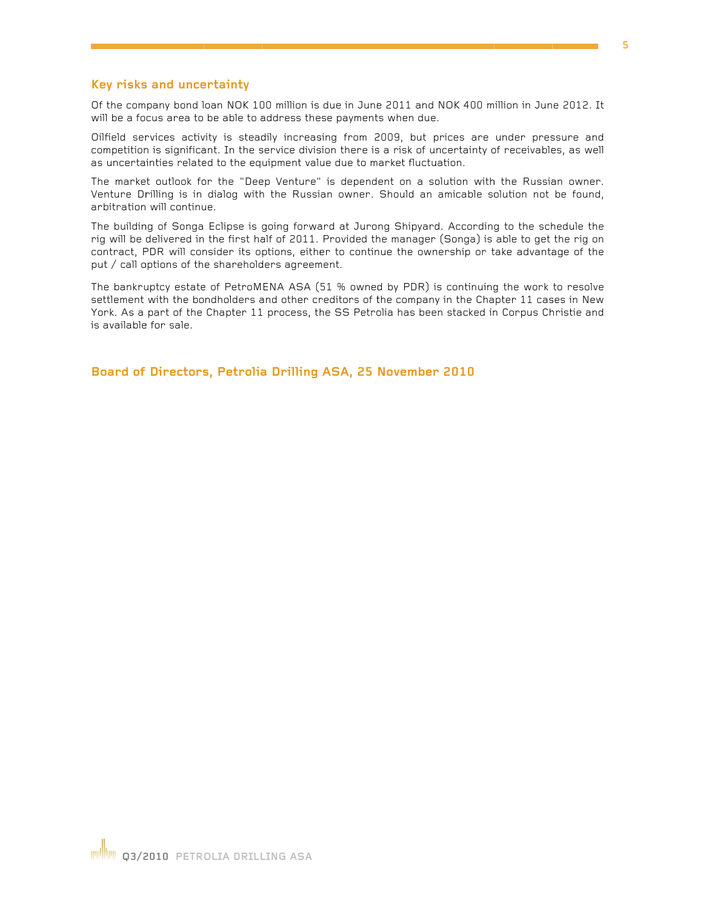#### Key risks and uncertainty

Of the company bond loan NOK 100 million is due in June 2011 and NOK 400 million in June 2012. It will be a focus area to be able to address these payments when due.

Oilfield services activity is steadily increasing from 2009, but prices are under pressure and competition is significant. In the service division there is a risk of uncertainty of receivables, as well as uncertainties related to the equipment value due to market fluctuation.

The market outlook for the "Deep Venture" is dependent on a solution with the Russian owner. Venture Drilling is in dialog with the Russian owner. Should an amicable solution not be found, arbitration will continue.

The building of Songa Eclipse is going forward at Jurong Shipyard. According to the schedule the rig will be delivered in the first half of 2011. Provided the manager (Songa) is able to get the rig on contract, PDR will consider its options, either to continue the ownership or take advantage of the put / call options of the shareholders agreement.

The bankruptcy estate of PetroMENA ASA (51 % owned by PDR) is continuing the work to resolve settlement with the bondholders and other creditors of the company in the Chapter 11 cases in New York. As a part of the Chapter 11 process, the SS Petrolia has been stacked in Corpus Christie and is available for sale.

Board of Directors, Petrolia Drilling ASA, 25 November 2010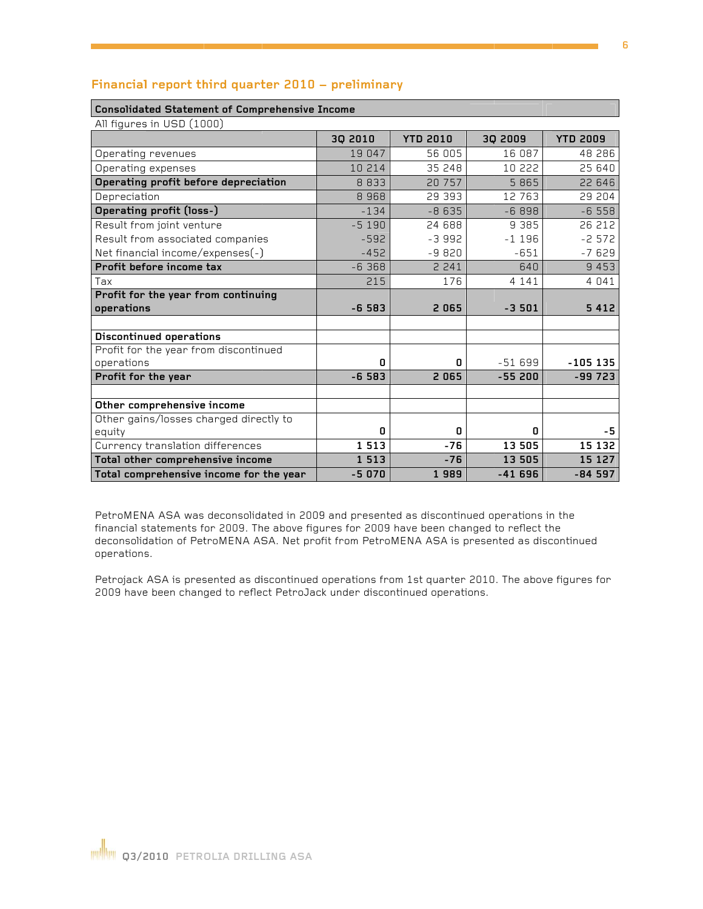| Consolidated Statement of Comprenensive Income |         |                 |          |                 |  |  |  |  |
|------------------------------------------------|---------|-----------------|----------|-----------------|--|--|--|--|
| All figures in USD (1000)                      |         |                 |          |                 |  |  |  |  |
|                                                | 3Q 2010 | <b>YTD 2010</b> | 30 2009  | <b>YTD 2009</b> |  |  |  |  |
| Operating revenues                             | 19 047  | 56 005          | 16 087   | 48 286          |  |  |  |  |
| Operating expenses                             | 10 214  | 35 248          | 10 222   | 25 640          |  |  |  |  |
| Operating profit before depreciation           | 8 8 3 3 | 20 757          | 5 8 6 5  | 22 646          |  |  |  |  |
| Depreciation                                   | 8968    | 29 393          | 12 763   | 29 204          |  |  |  |  |
| Operating profit (loss-)                       | $-134$  | $-8635$         | $-6898$  | $-6558$         |  |  |  |  |
| Result from joint venture                      | $-5190$ | 24 688          | 9 3 8 5  | 26 212          |  |  |  |  |
| Result from associated companies               | $-592$  | $-3992$         | $-1196$  | $-2572$         |  |  |  |  |
| Net financial income/expenses(-)               | $-452$  | $-9820$         | $-651$   | $-7629$         |  |  |  |  |
| Profit before income tax                       | $-6368$ | 2 2 4 1         | 640      | 9 4 5 3         |  |  |  |  |
| Tax                                            | 215     | 176             | 4 1 4 1  | 4 0 4 1         |  |  |  |  |
| Profit for the year from continuing            |         |                 |          |                 |  |  |  |  |
| operations                                     | $-6583$ | 2065            | $-3501$  | 5 4 1 2         |  |  |  |  |
|                                                |         |                 |          |                 |  |  |  |  |
| <b>Discontinued operations</b>                 |         |                 |          |                 |  |  |  |  |
| Profit for the year from discontinued          |         |                 |          |                 |  |  |  |  |
| operations                                     | 0       | 0               | $-51699$ | $-105$ 135      |  |  |  |  |
| Profit for the year                            | $-6583$ | 2065            | $-55200$ | -99 723         |  |  |  |  |
|                                                |         |                 |          |                 |  |  |  |  |
| Other comprehensive income                     |         |                 |          |                 |  |  |  |  |
| Other gains/losses charged directly to         |         |                 |          |                 |  |  |  |  |
| equity                                         | 0       | 0               | 0        | -5              |  |  |  |  |
| Currency translation differences               | 1513    | $-76$           | 13 505   | 15 132          |  |  |  |  |

1 5 1 3

 $-5070$ 

 $-76$ 

1989

13 505

 $-41696$ 

15 127

 $-84597$ 

#### Financial report third quarter 2010 - preliminary

Con

PetroMENA ASA was deconsolidated in 2009 and presented as discontinued operations in the financial statements for 2009. The above figures for 2009 have been changed to reflect the deconsolidation of PetroMENA ASA. Net profit from PetroMENA ASA is presented as discontinued operations.

Petrojack ASA is presented as discontinued operations from 1st quarter 2010. The above figures for 2009 have been changed to reflect PetroJack under discontinued operations.

Total other comprehensive income Total comprehensive income for the year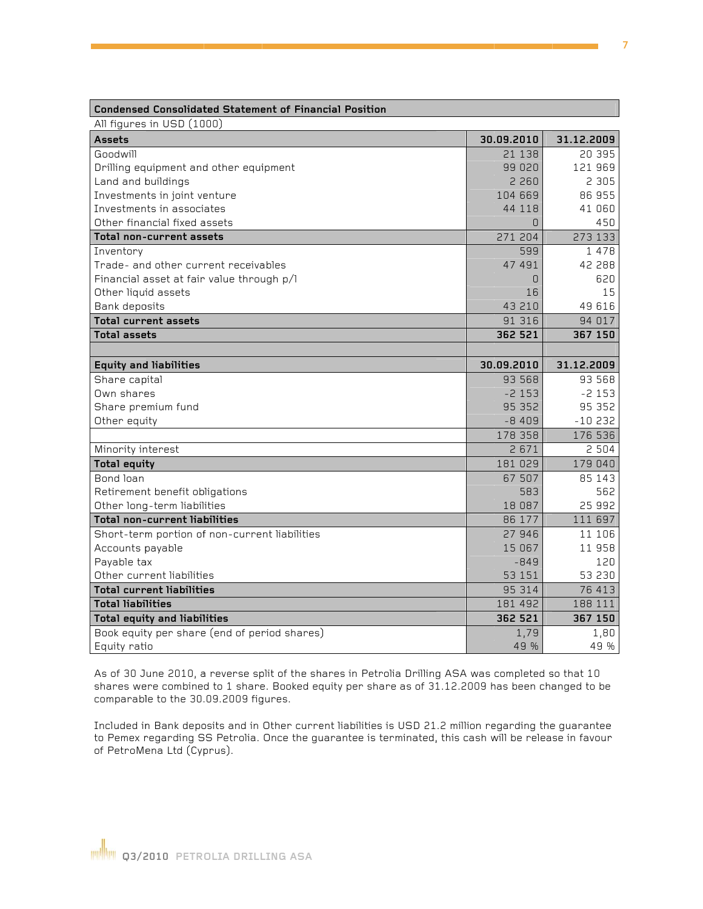| Condensed Consolidated Statement of Financial Position |            |            |
|--------------------------------------------------------|------------|------------|
| All figures in USD (1000)                              |            |            |
| <b>Assets</b>                                          | 30.09.2010 | 31.12.2009 |
| Goodwill                                               | 21 1 3 8   | 20 395     |
| Drilling equipment and other equipment                 | 99 020     | 121 969    |
| Land and buildings                                     | 2 2 6 0    | 2 3 0 5    |
| Investments in joint venture                           | 104 669    | 86 955     |
| Investments in associates                              | 44 118     | 41 060     |
| Other financial fixed assets                           | $\Box$     | 450        |
| Total non-current assets                               | 271 204    | 273 133    |
| Inventory                                              | 599        | 1 4 7 8    |
| Trade- and other current receivables                   | 47 491     | 42 288     |
| Financial asset at fair value through p/l              | 0          | 620        |
| Other liquid assets                                    | 16         | 15         |
| Bank deposits                                          | 43 210     | 49 616     |
| <b>Total current assets</b>                            | 91 316     | 94 017     |
| <b>Total assets</b>                                    | 362 521    | 367 150    |
|                                                        |            |            |
| <b>Equity and liabilities</b>                          | 30.09.2010 | 31.12.2009 |
| Share capital                                          | 93 568     | 93 568     |
| Own shares                                             | $-2153$    | $-2153$    |
| Share premium fund                                     | 95 352     | 95 352     |
| Other equity                                           | $-8409$    | $-10232$   |
|                                                        | 178 358    | 176 536    |
| Minority interest                                      | 2671       | 2 5 0 4    |
| <b>Total equity</b>                                    | 181 029    | 179 040    |
| Bond loan                                              | 67 507     | 85 143     |
| Retirement benefit obligations                         | 583        | 562        |
| Other long-term liabilities                            | 18 087     | 25 992     |
| <b>Total non-current liabilities</b>                   | 86 177     | 111 697    |
| Short-term portion of non-current liabilities          | 27 946     | 11 106     |
| Accounts payable                                       | 15 067     | 11 958     |
| Payable tax                                            | $-849$     | 120        |
| Other current liabilities                              | 53 151     | 53 230     |
| <b>Total current liabilities</b>                       | 95 314     | 76 413     |
| <b>Total liabilities</b>                               | 181 492    | 188 111    |
| <b>Total equity and liabilities</b>                    | 362 521    | 367 150    |
| Book equity per share (end of period shares)           | 1,79       | 1,80       |
| Equity ratio                                           | 49 %       | 49 %       |

 $\sim$   $\sim$   $\sim$   $\sim$   $\sim$ 

As of 30 June 2010, a reverse split of the shares in Petrolia Drilling ASA was completed so that 10 shares were combined to 1 share. Booked equity per share as of 31.12.2009 has been changed to be comparable to the 30.09.2009 figures.

Included in Bank deposits and in Other current liabilities is USD 21.2 million regarding the guarantee to Pemex regarding SS Petrolia. Once the guarantee is terminated, this cash will be release in favour of PetroMena Ltd (Cyprus).

П

 $\sim$   $\sim$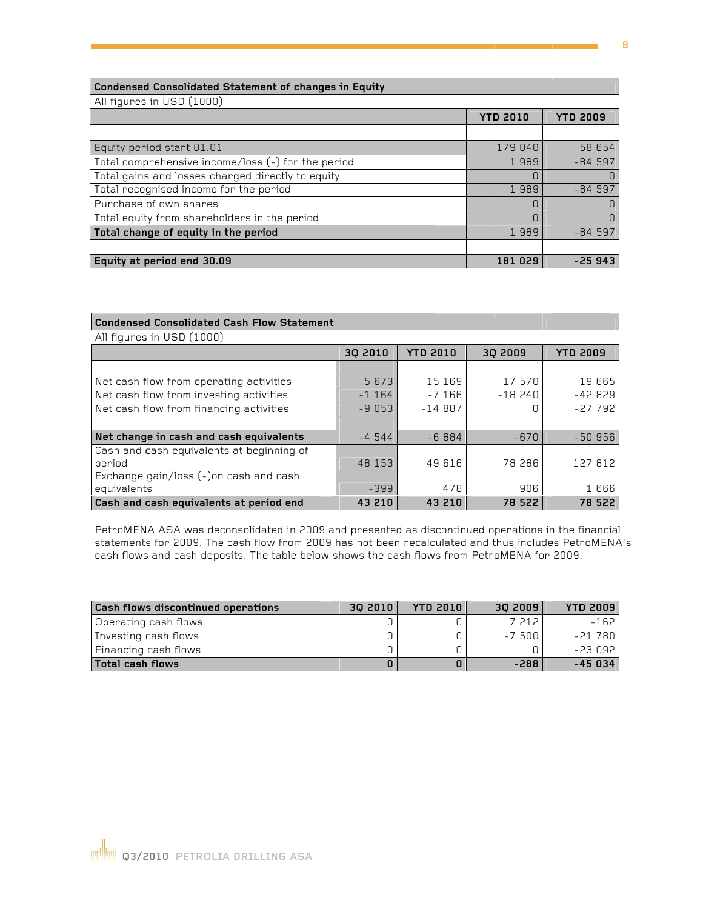#### Condensed Consolidated Statement of changes in Equity

All figures in USD (1000)

|                                                    | <b>YTD 2010</b> | <b>YTD 2009</b> |
|----------------------------------------------------|-----------------|-----------------|
|                                                    |                 |                 |
| Equity period start 01.01                          | 179 040         | 58 654          |
| Total comprehensive income/loss (-) for the period | 1989            | $-84597$        |
| Total gains and losses charged directly to equity  |                 |                 |
| Total recognised income for the period             | 1989            | $-84597$        |
| Purchase of own shares                             |                 |                 |
| Total equity from shareholders in the period       | C               |                 |
| Total change of equity in the period               | 1989            | $-84597$        |
|                                                    |                 |                 |
| Equity at period end 30.09                         | 181 029         | -25 943         |

| <b>Condensed Consolidated Cash Flow Statement</b> |         |                 |          |                 |  |  |  |  |
|---------------------------------------------------|---------|-----------------|----------|-----------------|--|--|--|--|
| All figures in USD (1000)                         |         |                 |          |                 |  |  |  |  |
|                                                   | 30 2010 | <b>YTD 2010</b> | 30 2009  | <b>YTD 2009</b> |  |  |  |  |
|                                                   |         |                 |          |                 |  |  |  |  |
| Net cash flow from operating activities           | 5 6 7 3 | 15 169          | 17 570   | 19665           |  |  |  |  |
| Net cash flow from investing activities           | $-1164$ | $-7166$         | $-18240$ | $-42829$        |  |  |  |  |
| Net cash flow from financing activities           | $-9053$ | $-14887$        |          | $-27792$        |  |  |  |  |
|                                                   |         |                 |          |                 |  |  |  |  |
| Net change in cash and cash equivalents           | $-4544$ | $-6884$         | $-670$   | $-50956$        |  |  |  |  |
| Cash and cash equivalents at beginning of         |         |                 |          |                 |  |  |  |  |
| period                                            | 48 153  | 49 616          | 78 286   | 127 812         |  |  |  |  |
| Exchange gain/loss (-)on cash and cash            |         |                 |          |                 |  |  |  |  |
| equivalents                                       | $-399$  | 478             | 906      | 1666            |  |  |  |  |
| Cash and cash equivalents at period end           | 43 210  | 43 210          | 78 522   | 78 522          |  |  |  |  |

PetroMENA ASA was deconsolidated in 2009 and presented as discontinued operations in the financial statements for 2009. The cash flow from 2009 has not been recalculated and thus includes PetroMENA's cash flows and cash deposits. The table below shows the cash flows from PetroMENA for 2009.

| <b>Cash flows discontinued operations</b> | 30 2010 | <b>YTD 2010</b> | 30 2009 | <b>YTD 2009</b> |
|-------------------------------------------|---------|-----------------|---------|-----------------|
| Operating cash flows                      |         |                 | 7 212   | $-162$          |
| Investing cash flows                      |         |                 | -7.500  | -21 780         |
| Financing cash flows                      |         |                 |         | $-23092$        |
| Total cash flows                          |         |                 | $-288$  | $-45034$        |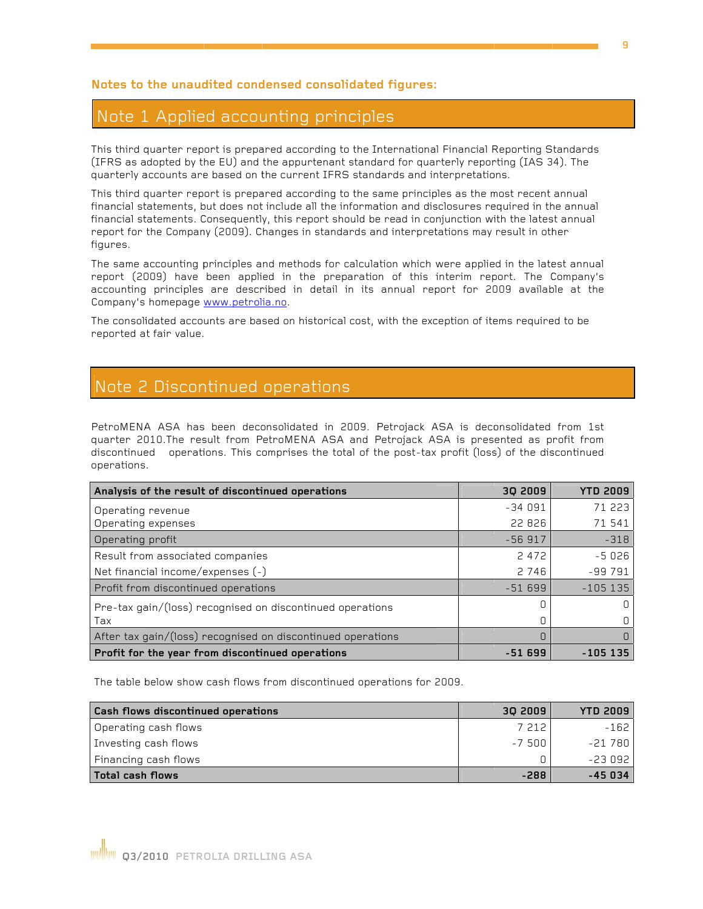#### Notes to the unaudited condensed consolidated figures:

## Note 1 Applied accounting principles

This third quarter report is prepared according to the International Financial Reporting Standards (IFRS as adopted by the EU) and the appurtenant standard for quarterly reporting (IAS 34). The quarterly accounts are based on the current IFRS standards and interpretations.

This third quarter report is prepared according to the same principles as the most recent annual financial statements, but does not include all the information and disclosures required in the annual financial statements. Consequently, this report should be read in conjunction with the latest annual report for the Company (2009). Changes in standards and interpretations may result in other figures.

The same accounting principles and methods for calculation which were applied in the latest annual report (2009) have been applied in the preparation of this interim report. The Company's accounting principles are described in detail in its annual report for 2009 available at the Company's homepage www.petrolia.no.

The consolidated accounts are based on historical cost, with the exception of items required to be reported at fair value.

### Note 2 Discontinued operations

PetroMENA ASA has been deconsolidated in 2009. Petrojack ASA is deconsolidated from 1st quarter 2010. The result from PetroMENA ASA and Petrojack ASA is presented as profit from discontinued operations. This comprises the total of the post-tax profit (loss) of the discontinued operations.

| Analysis of the result of discontinued operations           | 30 2009  | <b>YTD 2009</b> |
|-------------------------------------------------------------|----------|-----------------|
| Operating revenue                                           | $-34091$ | 71 223          |
| Operating expenses                                          | 22 826   | 71 541          |
| Operating profit                                            | $-56917$ | $-318$          |
| Result from associated companies                            | 2 4 7 2  | $-5026$         |
| Net financial income/expenses (-)                           | 2 7 4 6  | $-99791$        |
| Profit from discontinued operations                         | $-51699$ | $-105135$       |
| Pre-tax gain/(loss) recognised on discontinued operations   |          |                 |
| Tax                                                         | 0        |                 |
| After tax gain/(loss) recognised on discontinued operations | 0        |                 |
| Profit for the year from discontinued operations            | -51 699  | $-105$ 135      |

The table below show cash flows from discontinued operations for 2009.

| Cash flows discontinued operations | 30 2009 | <b>YTD 2009</b> |
|------------------------------------|---------|-----------------|
| Operating cash flows               | 7 212   | $-162$          |
| Investing cash flows               | $-7500$ | $-21780$        |
| Financing cash flows               |         | $-23092$        |
| Total cash flows                   | $-288$  | $-45034$        |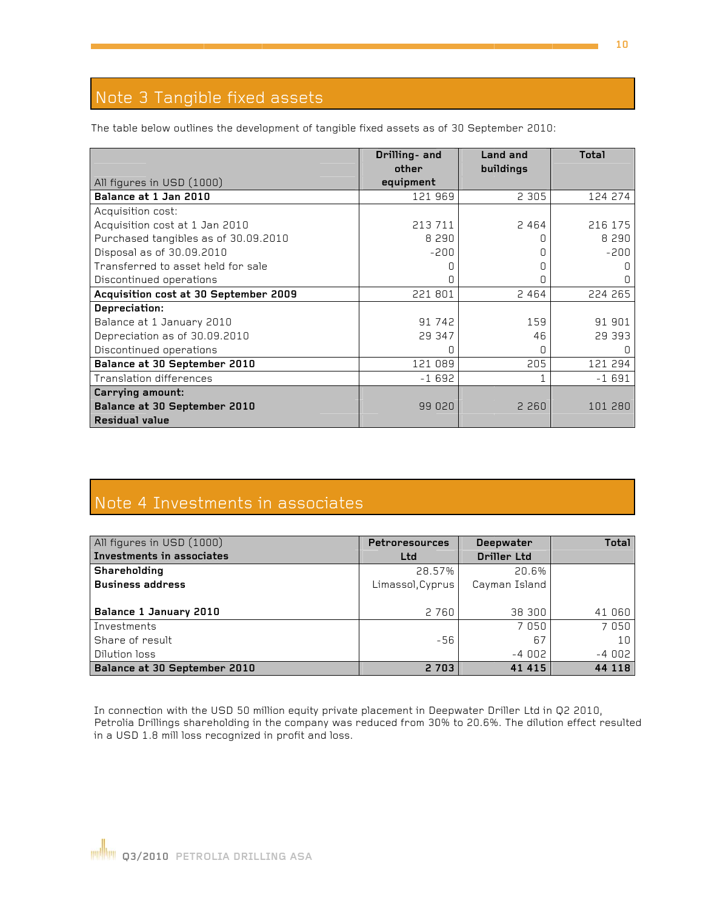# Note 3 Tangible fixed assets

The table below outlines the development of tangible fixed assets as of 30 September 2010:

|                                       | Drilling- and<br>other | Land and<br>buildings | <b>Total</b> |
|---------------------------------------|------------------------|-----------------------|--------------|
| All figures in USD (1000)             | equipment              |                       |              |
| Balance at 1 Jan 2010                 | 121 969                | 2 3 0 5               | 124 274      |
| Acquisition cost:                     |                        |                       |              |
| Acquisition cost at 1 Jan 2010        | 213 711                | 2 4 6 4               | 216 175      |
| Purchased tangibles as of 30.09.2010  | 8 2 9 0                | Π                     | 8 2 9 0      |
| Disposal as of 30.09.2010             | $-200$                 | Π                     | $-200$       |
| Transferred to asset held for sale    |                        | 0                     |              |
| Discontinued operations               |                        | 0                     |              |
| Acquisition cost at 30 September 2009 | 221 801                | 2 4 6 4               | 224 265      |
| Depreciation:                         |                        |                       |              |
| Balance at 1 January 2010             | 91 742                 | 159                   | 91 901       |
| Depreciation as of 30.09.2010         | 29 347                 | 46                    | 29 393       |
| Discontinued operations               |                        | 0                     |              |
| Balance at 30 September 2010          | 121 089                | 205                   | 121 294      |
| <b>Translation differences</b>        | $-1692$                |                       | $-1691$      |
| Carrying amount:                      |                        |                       |              |
| Balance at 30 September 2010          | 99 020                 | 2 2 6 0               | 101 280      |
| <b>Residual value</b>                 |                        |                       |              |

# Note 4 Investments in associates

| All figures in USD (1000)    | <b>Petroresources</b> | Deepwater          | <b>Total</b> |
|------------------------------|-----------------------|--------------------|--------------|
| Investments in associates    | Ltd                   | <b>Driller Ltd</b> |              |
| Shareholding                 | 28.57%                | 20.6%              |              |
| <b>Business address</b>      | Limassol, Cyprus      | Cayman Island      |              |
|                              |                       |                    |              |
| Balance 1 January 2010       | 2 7 6 0               | 38 300             | 41 060       |
| Investments                  |                       | 7050               | 7050         |
| Share of result              | $-56$                 | 67                 | 1 C          |
| Dilution loss                |                       | $-4002$            | $-4002$      |
| Balance at 30 September 2010 | 2 7 0 3               | 41 4 15            | 44 118       |

In connection with the USD 50 million equity private placement in Deepwater Driller Ltd in Q2 2010, Petrolia Drillings shareholding in the company was reduced from 30% to 20.6%. The dilution effect resulted in a USD 1.8 mill loss recognized in profit and loss.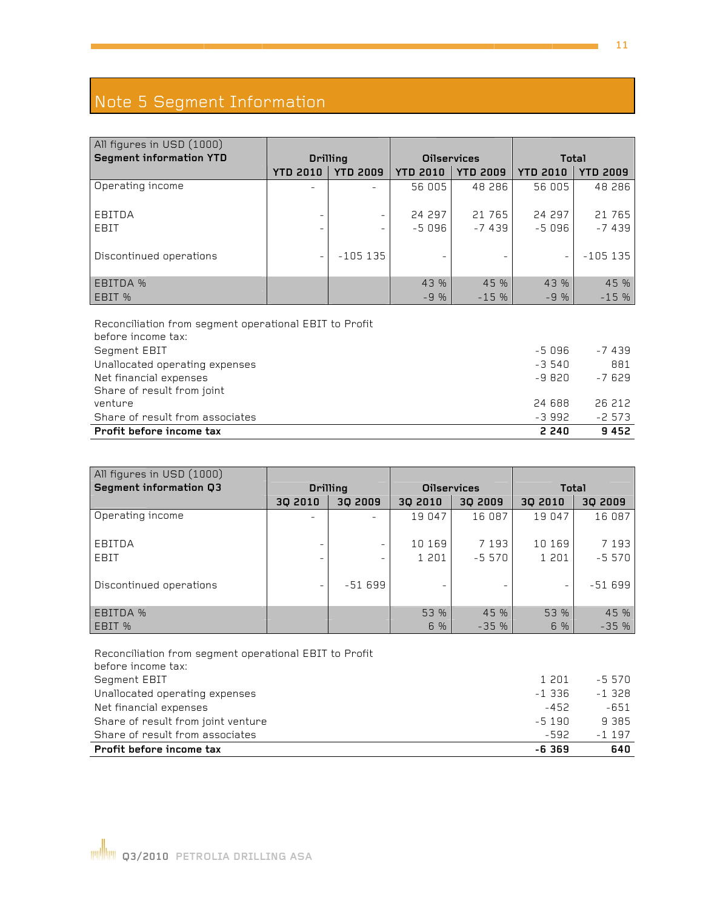## Note 5 Segment Information

| Note 5 Segment Information                                                   |                 |                 |                          |                    |                 |                 |  |  |
|------------------------------------------------------------------------------|-----------------|-----------------|--------------------------|--------------------|-----------------|-----------------|--|--|
|                                                                              |                 |                 |                          |                    |                 |                 |  |  |
| All figures in USD (1000)                                                    |                 |                 |                          |                    |                 |                 |  |  |
| <b>Segment information YTD</b>                                               |                 | <b>Drilling</b> |                          | <b>Oilservices</b> | <b>Total</b>    |                 |  |  |
|                                                                              | <b>YTD 2010</b> | <b>YTD 2009</b> | <b>YTD 2010</b>          | <b>YTD 2009</b>    | <b>YTD 2010</b> | <b>YTD 2009</b> |  |  |
| Operating income                                                             |                 |                 | 56 005                   | 48 286             | 56 005          | 48 286          |  |  |
|                                                                              |                 |                 |                          |                    |                 |                 |  |  |
| EBITDA                                                                       |                 |                 | 24 297                   | 21 765             | 24 297          | 21 765          |  |  |
| EBIT                                                                         |                 |                 | $-5096$                  | $-7439$            | $-5096$         | $-7439$         |  |  |
|                                                                              |                 | $-105$ 135      |                          |                    |                 |                 |  |  |
| Discontinued operations                                                      |                 |                 | $\overline{\phantom{m}}$ |                    |                 | $-105$ 135      |  |  |
| <b>EBITDA %</b>                                                              |                 |                 | 43 %                     | 45 %               | 43 %            | 45 %            |  |  |
| EBIT %                                                                       |                 |                 | $-9%$                    | $-15%$             | $-9%$           | $-15%$          |  |  |
|                                                                              |                 |                 |                          |                    |                 |                 |  |  |
| Reconciliation from segment operational EBIT to Profit<br>before income tax: |                 |                 |                          |                    |                 |                 |  |  |
| Segment EBIT                                                                 |                 |                 |                          |                    | $-5096$         | $-7439$         |  |  |
| Unallocated operating expenses                                               |                 |                 |                          |                    | $-3540$         | 881             |  |  |
| Net financial expenses                                                       |                 |                 |                          |                    | $-9820$         | $-7629$         |  |  |
| Share of result from joint                                                   |                 |                 |                          |                    |                 |                 |  |  |
| venture                                                                      |                 |                 |                          |                    | 24 688          | 26 212          |  |  |
| Share of result from associates                                              |                 |                 |                          |                    | $-3992$         | $-2573$         |  |  |
| Profit before income tax                                                     |                 |                 |                          |                    | 2 2 4 0         | 9452            |  |  |
|                                                                              |                 |                 |                          |                    |                 |                 |  |  |
| All figures in USD (1000)                                                    |                 |                 |                          |                    |                 |                 |  |  |
| Segment information Q3                                                       |                 | <b>Drilling</b> | <b>Oilservices</b>       |                    | Total           |                 |  |  |
|                                                                              | 3Q 2010         | 3Q 2009         | 3Q 2010                  | 30 2009            | 3Q 2010         | 3Q 2009         |  |  |
| Operating income                                                             |                 |                 | 19 047                   | 16 087             | 19 047          | 16 087          |  |  |
|                                                                              |                 |                 |                          |                    |                 |                 |  |  |
| EBITDA                                                                       |                 |                 | 10 169                   | 7 1 9 3            | 10 169          | 7 1 9 3         |  |  |
| EBIT                                                                         |                 |                 | 1 201                    | $-5570$            | 1 201           | $-5570$         |  |  |
|                                                                              |                 |                 |                          |                    |                 |                 |  |  |
| Discontinued operations                                                      |                 | $-51699$        |                          |                    |                 | $-51699$        |  |  |
| EBITDA %                                                                     |                 |                 |                          |                    |                 |                 |  |  |
| EBIT %                                                                       |                 |                 | 53 %<br>6 %              | 45 %<br>$-35%$     | 53 %<br>6 %     | 45 %<br>$-35%$  |  |  |
|                                                                              |                 |                 |                          |                    |                 |                 |  |  |
| Reconciliation from segment operational EBIT to Profit<br>before income tax: |                 |                 |                          |                    |                 |                 |  |  |
| Segment EBIT                                                                 |                 |                 |                          |                    | 1 201           | $-5570$         |  |  |
| Unallocated operating expenses                                               |                 |                 |                          |                    | $-1336$         | $-1328$         |  |  |
| Net financial expenses                                                       |                 |                 |                          |                    | $-452$          | $-651$          |  |  |
| Share of result from joint venture                                           |                 |                 |                          |                    | $-5190$         | 9 3 8 5         |  |  |

| All figures in USD (1000) |                          |                 |                    |          |                          |          |
|---------------------------|--------------------------|-----------------|--------------------|----------|--------------------------|----------|
| Segment information Q3    |                          | <b>Drilling</b> | <b>Oilservices</b> |          | <b>Total</b>             |          |
|                           | 30 2010                  | 30 2009         | 30 2010            | 30 2009  | 30 2010                  | 30 2009  |
| Operating income          | $\overline{\phantom{a}}$ |                 | 19 047             | 16 087   | 19 047                   | 16 087   |
| EBITDA                    |                          | -               | 10 169             | 7 1 9 3  | 10 169                   | 7 1 9 3  |
| EBIT                      |                          |                 | 1 2 0 1            | $-5,570$ | 1 201                    | $-5570$  |
| Discontinued operations   |                          | $-51699$        |                    |          | $\overline{\phantom{0}}$ | $-51699$ |
| EBITDA %                  |                          |                 | 53 %               | 45 %     | 53 %                     | 45 %     |
| EBIT %                    |                          |                 | 6 %                | $-35%$   | 6 %                      | $-35%$   |

Reconciliation from segment operational EBIT to Profit before inc ome tax: Segment E EBIT Unallocated operating expenses Net financ ial expenses Net financial expenses<br>Share of result from joint venture Share of result from associates Profit before income tax 1 2 201 -5 570 -1 3 336 -1 328 -4 452 - -5 1 190 9 -5 592 -1 **-6 3 369** 651 385  $-1197$ **640**

**11**